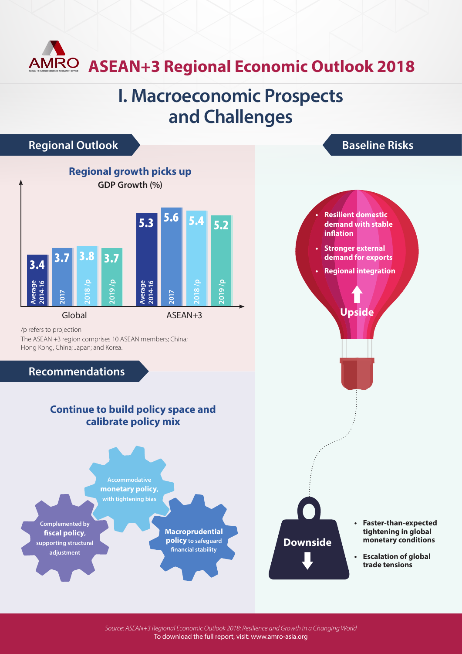# **ASEAN+3 Regional Economic Outlook 2018**

### **I. Macroeconomic Prospects and Challenges**



*Source: ASEAN+3 Regional Economic Outlook 2018: Resilience and Growth in a Changing World* To download the full report, visit: www.amro-asia.org